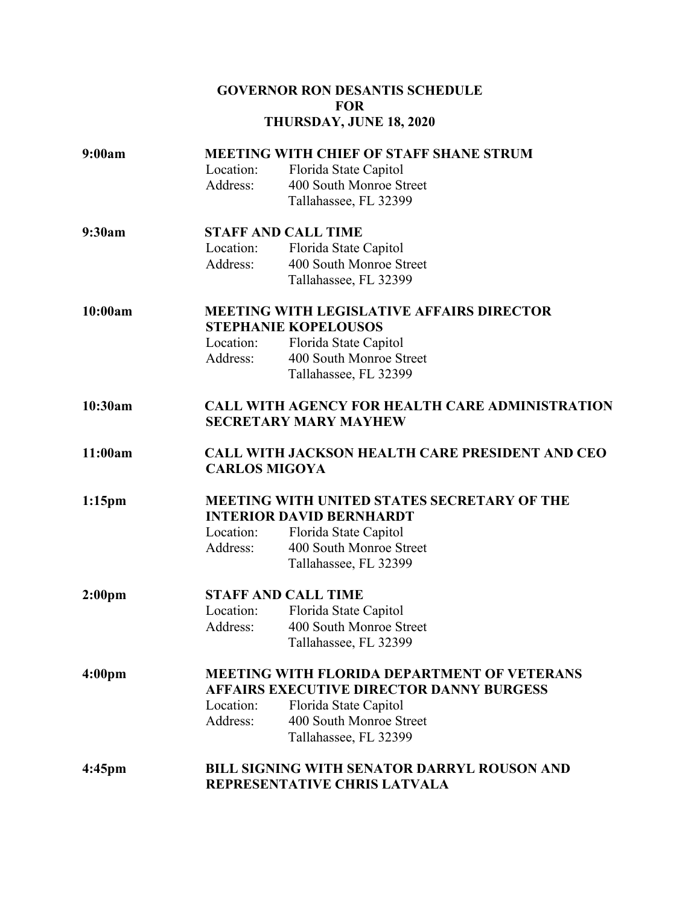## **GOVERNOR RON DESANTIS SCHEDULE FOR THURSDAY, JUNE 18, 2020**

| 9:00am             | <b>MEETING WITH CHIEF OF STAFF SHANE STRUM</b>                                         |                              |  |
|--------------------|----------------------------------------------------------------------------------------|------------------------------|--|
|                    | Location:                                                                              | Florida State Capitol        |  |
|                    | Address:                                                                               | 400 South Monroe Street      |  |
|                    |                                                                                        | Tallahassee, FL 32399        |  |
| 9:30am             | <b>STAFF AND CALL TIME</b>                                                             |                              |  |
|                    | Location:                                                                              | Florida State Capitol        |  |
|                    | Address:                                                                               | 400 South Monroe Street      |  |
|                    |                                                                                        | Tallahassee, FL 32399        |  |
| 10:00am            | <b>MEETING WITH LEGISLATIVE AFFAIRS DIRECTOR</b>                                       |                              |  |
|                    |                                                                                        | <b>STEPHANIE KOPELOUSOS</b>  |  |
|                    | Location:                                                                              | Florida State Capitol        |  |
|                    | Address:                                                                               | 400 South Monroe Street      |  |
|                    |                                                                                        | Tallahassee, FL 32399        |  |
| 10:30am            | <b>CALL WITH AGENCY FOR HEALTH CARE ADMINISTRATION</b><br><b>SECRETARY MARY MAYHEW</b> |                              |  |
|                    |                                                                                        |                              |  |
| 11:00am            | <b>CALL WITH JACKSON HEALTH CARE PRESIDENT AND CEO</b><br><b>CARLOS MIGOYA</b>         |                              |  |
| $1:15$ pm          | MEETING WITH UNITED STATES SECRETARY OF THE<br><b>INTERIOR DAVID BERNHARDT</b>         |                              |  |
|                    | Location:                                                                              | Florida State Capitol        |  |
|                    | Address:                                                                               | 400 South Monroe Street      |  |
|                    |                                                                                        | Tallahassee, FL 32399        |  |
| 2:00 <sub>pm</sub> | <b>STAFF AND CALL TIME</b>                                                             |                              |  |
|                    | Location:                                                                              | Florida State Capitol        |  |
|                    | Address:                                                                               | 400 South Monroe Street      |  |
|                    |                                                                                        | Tallahassee, FL 32399        |  |
| 4:00 <sub>pm</sub> | <b>MEETING WITH FLORIDA DEPARTMENT OF VETERANS</b>                                     |                              |  |
|                    | <b>AFFAIRS EXECUTIVE DIRECTOR DANNY BURGESS</b>                                        |                              |  |
|                    | Location:                                                                              | Florida State Capitol        |  |
|                    | Address:                                                                               | 400 South Monroe Street      |  |
|                    |                                                                                        | Tallahassee, FL 32399        |  |
| 4:45 <sub>pm</sub> | <b>BILL SIGNING WITH SENATOR DARRYL ROUSON AND</b>                                     |                              |  |
|                    |                                                                                        | REPRESENTATIVE CHRIS LATVALA |  |